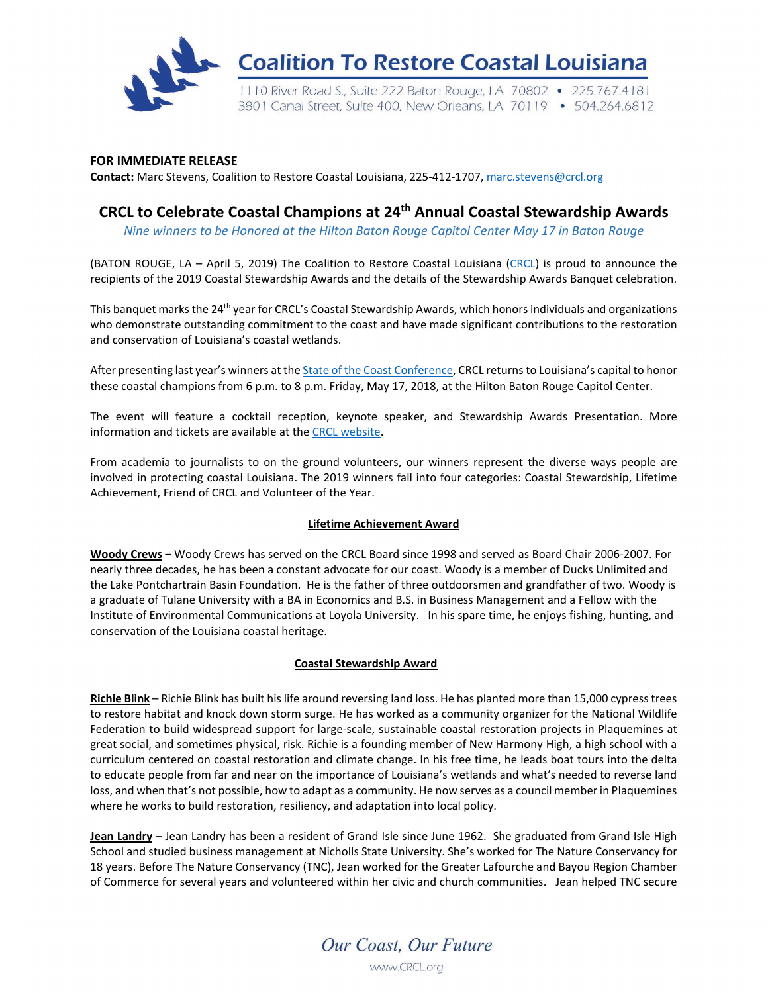

## **FOR IMMEDIATE RELEASE**

**Contact:** Marc Stevens, Coalition to Restore Coastal Louisiana, 225-412-1707, [marc.stevens@crcl.org](mailto:marc.stevens@crcl.org)

# **CRCL to Celebrate Coastal Champions at 24th Annual Coastal Stewardship Awards**

*Nine winners to be Honored at the Hilton Baton Rouge Capitol Center May 17 in Baton Rouge*

(BATON ROUGE, LA – April 5, 2019) The Coalition to Restore Coastal Louisiana (CRCL) is proud to announce the recipients of the 2019 Coastal Stewardship Awards and the details of the Stewardship Awards Banquet celebration.

This banquet marks the 24<sup>th</sup> year for CRCL's Coastal Stewardship Awards, which honors individuals and organizations who demonstrate outstanding commitment to the coast and have made significant contributions to the restoration and conservation of Louisiana's coastal wetlands.

After presenting last year's winners at the State of the Coast Conference, CRCL returns to Louisiana's capital to honor these coastal champions from 6 p.m. to 8 p.m. Friday, May 17, 2018, at the Hilton Baton Rouge Capitol Center.

The event will feature a cocktail reception, keynote speaker, and Stewardship Awards Presentation. More information and tickets are available at the [CRCL website.](https://www.crcl.org/coastal-stewardship-awards) 

From academia to journalists to on the ground volunteers, our winners represent the diverse ways people are involved in protecting coastal Louisiana. The 2019 winners fall into four categories: Coastal Stewardship, Lifetime Achievement, Friend of CRCL and Volunteer of the Year.

### **Lifetime Achievement Award**

**Woody Crews –** Woody Crews has served on the CRCL Board since 1998 and served as Board Chair 2006-2007. For nearly three decades, he has been a constant advocate for our coast. Woody is a member of Ducks Unlimited and the Lake Pontchartrain Basin Foundation. He is the father of three outdoorsmen and grandfather of two. Woody is a graduate of Tulane University with a BA in Economics and B.S. in Business Management and a Fellow with the Institute of Environmental Communications at Loyola University. In his spare time, he enjoys fishing, hunting, and conservation of the Louisiana coastal heritage.

#### **Coastal Stewardship Award**

**Richie Blink** – Richie Blink has built his life around reversing land loss. He has planted more than 15,000 cypress trees to restore habitat and knock down storm surge. He has worked as a community organizer for the National Wildlife Federation to build widespread support for large-scale, sustainable coastal restoration projects in Plaquemines at great social, and sometimes physical, risk. Richie is a founding member of New Harmony High, a high school with a curriculum centered on coastal restoration and climate change. In his free time, he leads boat tours into the delta to educate people from far and near on the importance of Louisiana's wetlands and what's needed to reverse land loss, and when that's not possible, how to adapt as a community. He now serves as a council member in Plaquemines where he works to build restoration, resiliency, and adaptation into local policy.

**Jean Landry** – Jean Landry has been a resident of Grand Isle since June 1962. She graduated from Grand Isle High School and studied business management at Nicholls State University. She's worked for The Nature Conservancy for 18 years. Before The Nature Conservancy (TNC), Jean worked for the Greater Lafourche and Bayou Region Chamber of Commerce for several years and volunteered within her civic and church communities. Jean helped TNC secure

> Our Coast, Our Future www.CRCL.org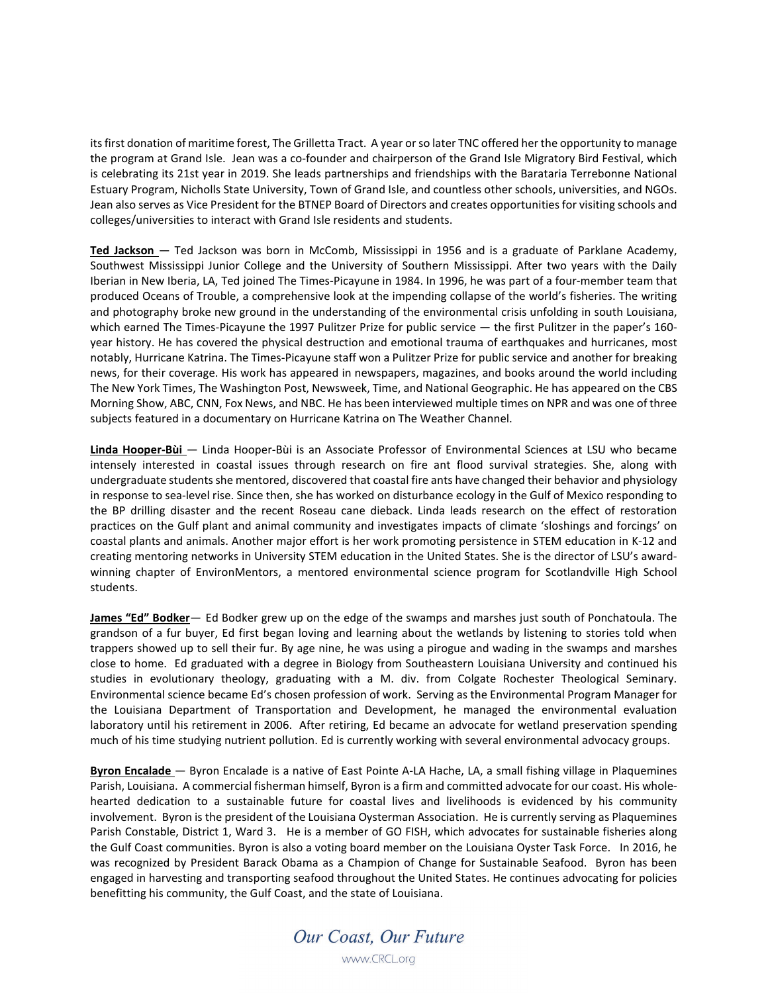its first donation of maritime forest, The Grilletta Tract. A year or so later TNC offered her the opportunity to manage the program at Grand Isle. Jean was a co-founder and chairperson of the Grand Isle Migratory Bird Festival, which is celebrating its 21st year in 2019. She leads partnerships and friendships with the Barataria Terrebonne National Estuary Program, Nicholls State University, Town of Grand Isle, and countless other schools, universities, and NGOs. Jean also serves as Vice President for the BTNEP Board of Directors and creates opportunities for visiting schools and colleges/universities to interact with Grand Isle residents and students.

**Ted Jackson** — Ted Jackson was born in McComb, Mississippi in 1956 and is a graduate of Parklane Academy, Southwest Mississippi Junior College and the University of Southern Mississippi. After two years with the Daily Iberian in New Iberia, LA, Ted joined The Times-Picayune in 1984. In 1996, he was part of a four-member team that produced Oceans of Trouble, a comprehensive look at the impending collapse of the world's fisheries. The writing and photography broke new ground in the understanding of the environmental crisis unfolding in south Louisiana, which earned The Times-Picayune the 1997 Pulitzer Prize for public service — the first Pulitzer in the paper's 160 year history. He has covered the physical destruction and emotional trauma of earthquakes and hurricanes, most notably, Hurricane Katrina. The Times-Picayune staff won a Pulitzer Prize for public service and another for breaking news, for their coverage. His work has appeared in newspapers, magazines, and books around the world including The New York Times, The Washington Post, Newsweek, Time, and National Geographic. He has appeared on the CBS Morning Show, ABC, CNN, Fox News, and NBC. He has been interviewed multiple times on NPR and was one of three subjects featured in a documentary on Hurricane Katrina on The Weather Channel.

**Linda Hooper-Bùi** — Linda Hooper-Bùi is an Associate Professor of Environmental Sciences at LSU who became intensely interested in coastal issues through research on fire ant flood survival strategies. She, along with undergraduate students she mentored, discovered that coastal fire ants have changed their behavior and physiology in response to sea-level rise. Since then, she has worked on disturbance ecology in the Gulf of Mexico responding to the BP drilling disaster and the recent Roseau cane dieback. Linda leads research on the effect of restoration practices on the Gulf plant and animal community and investigates impacts of climate 'sloshings and forcings' on coastal plants and animals. Another major effort is her work promoting persistence in STEM education in K-12 and creating mentoring networks in University STEM education in the United States. She is the director of LSU's awardwinning chapter of EnvironMentors, a mentored environmental science program for Scotlandville High School students.

**James "Ed" Bodker**— Ed Bodker grew up on the edge of the swamps and marshes just south of Ponchatoula. The grandson of a fur buyer, Ed first began loving and learning about the wetlands by listening to stories told when trappers showed up to sell their fur. By age nine, he was using a pirogue and wading in the swamps and marshes close to home. Ed graduated with a degree in Biology from Southeastern Louisiana University and continued his studies in evolutionary theology, graduating with a M. div. from Colgate Rochester Theological Seminary. Environmental science became Ed's chosen profession of work. Serving as the Environmental Program Manager for the Louisiana Department of Transportation and Development, he managed the environmental evaluation laboratory until his retirement in 2006. After retiring, Ed became an advocate for wetland preservation spending much of his time studying nutrient pollution. Ed is currently working with several environmental advocacy groups.

**Byron Encalade** — Byron Encalade is a native of East Pointe A-LA Hache, LA, a small fishing village in Plaquemines Parish, Louisiana. A commercial fisherman himself, Byron is a firm and committed advocate for our coast. His wholehearted dedication to a sustainable future for coastal lives and livelihoods is evidenced by his community involvement. Byron is the president of the Louisiana Oysterman Association. He is currently serving as Plaquemines Parish Constable, District 1, Ward 3. He is a member of GO FISH, which advocates for sustainable fisheries along the Gulf Coast communities. Byron is also a voting board member on the Louisiana Oyster Task Force. In 2016, he was recognized by President Barack Obama as a Champion of Change for Sustainable Seafood. Byron has been engaged in harvesting and transporting seafood throughout the United States. He continues advocating for policies benefitting his community, the Gulf Coast, and the state of Louisiana.

Our Coast, Our Future www.CRCL.org